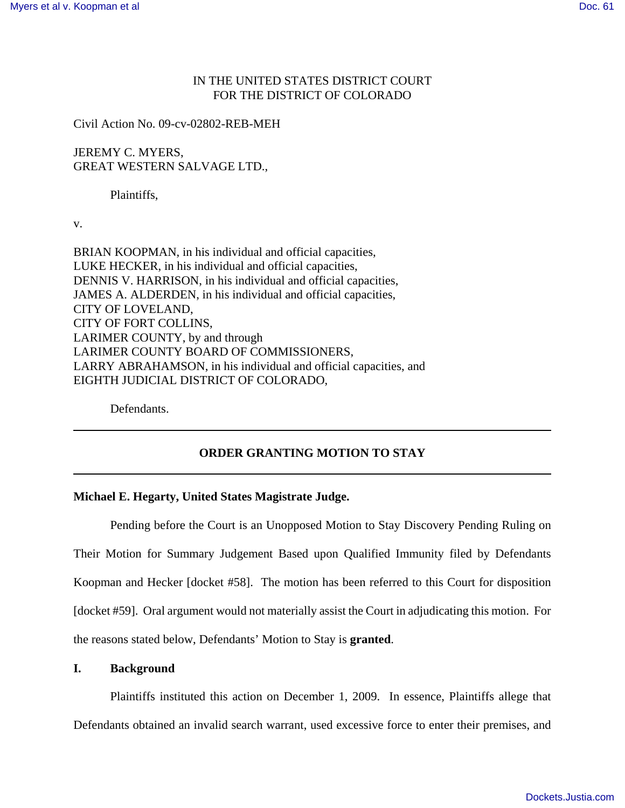# IN THE UNITED STATES DISTRICT COURT FOR THE DISTRICT OF COLORADO

Civil Action No. 09-cv-02802-REB-MEH

JEREMY C. MYERS, GREAT WESTERN SALVAGE LTD.,

Plaintiffs,

v.

BRIAN KOOPMAN, in his individual and official capacities, LUKE HECKER, in his individual and official capacities, DENNIS V. HARRISON, in his individual and official capacities, JAMES A. ALDERDEN, in his individual and official capacities, CITY OF LOVELAND, CITY OF FORT COLLINS, LARIMER COUNTY, by and through LARIMER COUNTY BOARD OF COMMISSIONERS, LARRY ABRAHAMSON, in his individual and official capacities, and EIGHTH JUDICIAL DISTRICT OF COLORADO,

Defendants.

## **ORDER GRANTING MOTION TO STAY**

#### **Michael E. Hegarty, United States Magistrate Judge.**

Pending before the Court is an Unopposed Motion to Stay Discovery Pending Ruling on Their Motion for Summary Judgement Based upon Qualified Immunity filed by Defendants Koopman and Hecker [docket #58]. The motion has been referred to this Court for disposition [docket #59]. Oral argument would not materially assist the Court in adjudicating this motion. For the reasons stated below, Defendants' Motion to Stay is **granted**.

## **I. Background**

Plaintiffs instituted this action on December 1, 2009. In essence, Plaintiffs allege that Defendants obtained an invalid search warrant, used excessive force to enter their premises, and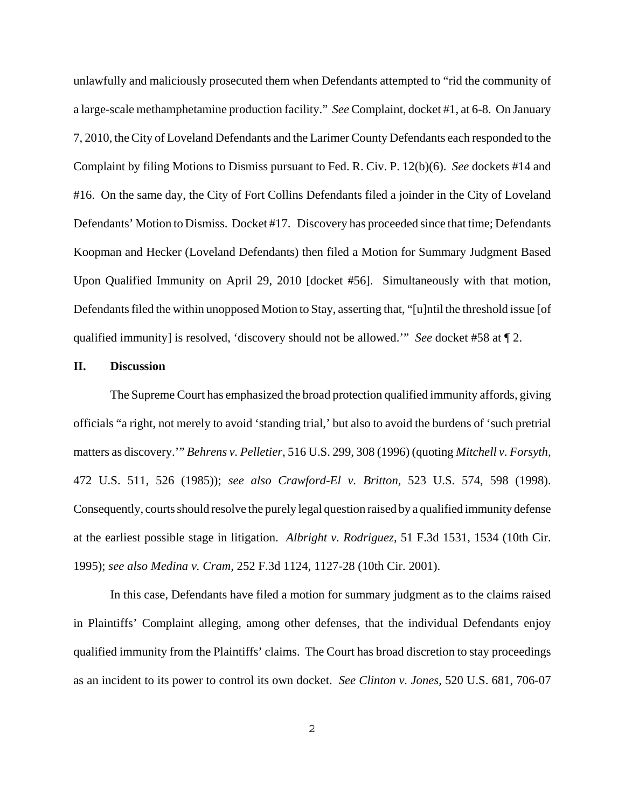unlawfully and maliciously prosecuted them when Defendants attempted to "rid the community of a large-scale methamphetamine production facility." *See* Complaint, docket #1, at 6-8. On January 7, 2010, the City of Loveland Defendants and the Larimer County Defendants each responded to the Complaint by filing Motions to Dismiss pursuant to Fed. R. Civ. P. 12(b)(6). *See* dockets #14 and #16. On the same day, the City of Fort Collins Defendants filed a joinder in the City of Loveland Defendants' Motion to Dismiss. Docket #17. Discovery has proceeded since that time; Defendants Koopman and Hecker (Loveland Defendants) then filed a Motion for Summary Judgment Based Upon Qualified Immunity on April 29, 2010 [docket #56]. Simultaneously with that motion, Defendants filed the within unopposed Motion to Stay, asserting that, "[u]ntil the threshold issue [of qualified immunity] is resolved, 'discovery should not be allowed.'" *See* docket #58 at ¶ 2.

## **II. Discussion**

The Supreme Court has emphasized the broad protection qualified immunity affords, giving officials "a right, not merely to avoid 'standing trial,' but also to avoid the burdens of 'such pretrial matters as discovery.'" *Behrens v. Pelletier,* 516 U.S. 299, 308 (1996) (quoting *Mitchell v. Forsyth,* 472 U.S. 511, 526 (1985)); *see also Crawford-El v. Britton,* 523 U.S. 574, 598 (1998). Consequently, courts should resolve the purely legal question raised by a qualified immunity defense at the earliest possible stage in litigation. *Albright v. Rodriguez,* 51 F.3d 1531, 1534 (10th Cir. 1995); *see also Medina v. Cram,* 252 F.3d 1124, 1127-28 (10th Cir. 2001).

In this case, Defendants have filed a motion for summary judgment as to the claims raised in Plaintiffs' Complaint alleging, among other defenses, that the individual Defendants enjoy qualified immunity from the Plaintiffs' claims. The Court has broad discretion to stay proceedings as an incident to its power to control its own docket. *See Clinton v. Jones,* 520 U.S. 681, 706-07